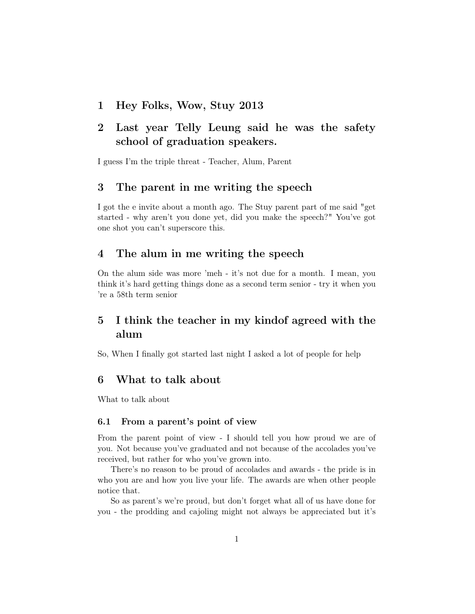1 Hey Folks, Wow, Stuy 2013

# 2 Last year Telly Leung said he was the safety school of graduation speakers.

I guess I'm the triple threat - Teacher, Alum, Parent

## 3 The parent in me writing the speech

I got the e invite about a month ago. The Stuy parent part of me said "get started - why aren't you done yet, did you make the speech?" You've got one shot you can't superscore this.

## 4 The alum in me writing the speech

On the alum side was more 'meh - it's not due for a month. I mean, you think it's hard getting things done as a second term senior - try it when you 're a 58th term senior

# 5 I think the teacher in my kindof agreed with the alum

So, When I finally got started last night I asked a lot of people for help

## 6 What to talk about

What to talk about

### 6.1 From a parent's point of view

From the parent point of view - I should tell you how proud we are of you. Not because you've graduated and not because of the accolades you've received, but rather for who you've grown into.

There's no reason to be proud of accolades and awards - the pride is in who you are and how you live your life. The awards are when other people notice that.

So as parent's we're proud, but don't forget what all of us have done for you - the prodding and cajoling might not always be appreciated but it's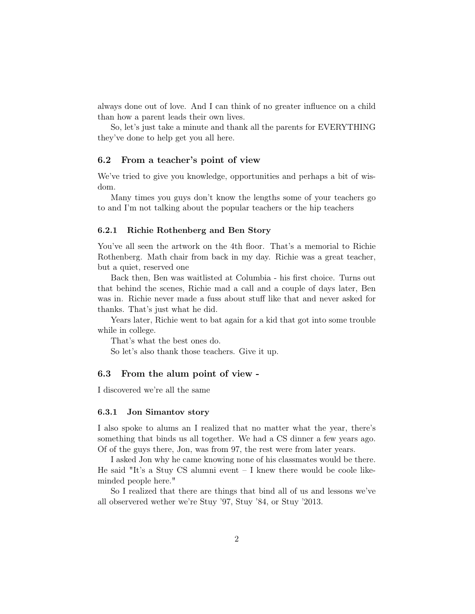always done out of love. And I can think of no greater influence on a child than how a parent leads their own lives.

So, let's just take a minute and thank all the parents for EVERYTHING they've done to help get you all here.

#### 6.2 From a teacher's point of view

We've tried to give you knowledge, opportunities and perhaps a bit of wisdom.

Many times you guys don't know the lengths some of your teachers go to and I'm not talking about the popular teachers or the hip teachers

#### 6.2.1 Richie Rothenberg and Ben Story

You've all seen the artwork on the 4th floor. That's a memorial to Richie Rothenberg. Math chair from back in my day. Richie was a great teacher, but a quiet, reserved one

Back then, Ben was waitlisted at Columbia - his first choice. Turns out that behind the scenes, Richie mad a call and a couple of days later, Ben was in. Richie never made a fuss about stuff like that and never asked for thanks. That's just what he did.

Years later, Richie went to bat again for a kid that got into some trouble while in college.

That's what the best ones do.

So let's also thank those teachers. Give it up.

### 6.3 From the alum point of view -

I discovered we're all the same

#### 6.3.1 Jon Simantov story

I also spoke to alums an I realized that no matter what the year, there's something that binds us all together. We had a CS dinner a few years ago. Of of the guys there, Jon, was from 97, the rest were from later years.

I asked Jon why he came knowing none of his classmates would be there. He said "It's a Stuy CS alumni event  $-$  I knew there would be coole likeminded people here."

So I realized that there are things that bind all of us and lessons we've all observered wether we're Stuy '97, Stuy '84, or Stuy '2013.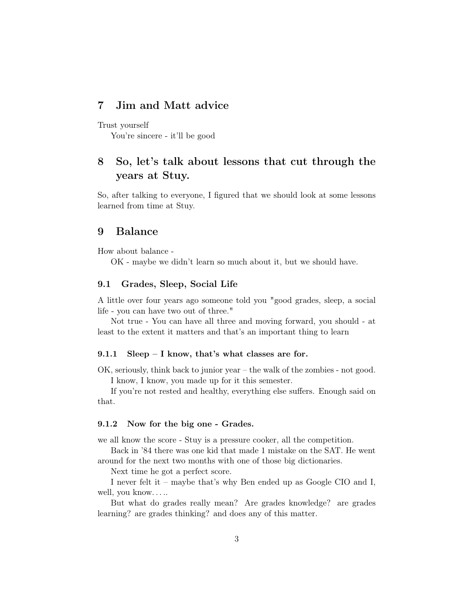## 7 Jim and Matt advice

Trust yourself

You're sincere - it'll be good

# 8 So, let's talk about lessons that cut through the years at Stuy.

So, after talking to everyone, I figured that we should look at some lessons learned from time at Stuy.

### 9 Balance

How about balance -

OK - maybe we didn't learn so much about it, but we should have.

#### 9.1 Grades, Sleep, Social Life

A little over four years ago someone told you "good grades, sleep, a social life - you can have two out of three."

Not true - You can have all three and moving forward, you should - at least to the extent it matters and that's an important thing to learn

### 9.1.1 Sleep – I know, that's what classes are for.

OK, seriously, think back to junior year – the walk of the zombies - not good. I know, I know, you made up for it this semester.

If you're not rested and healthy, everything else suffers. Enough said on that.

### 9.1.2 Now for the big one - Grades.

we all know the score - Stuy is a pressure cooker, all the competition.

Back in '84 there was one kid that made 1 mistake on the SAT. He went around for the next two months with one of those big dictionaries.

Next time he got a perfect score.

I never felt it – maybe that's why Ben ended up as Google CIO and I, well, you know. . . ..

But what do grades really mean? Are grades knowledge? are grades learning? are grades thinking? and does any of this matter.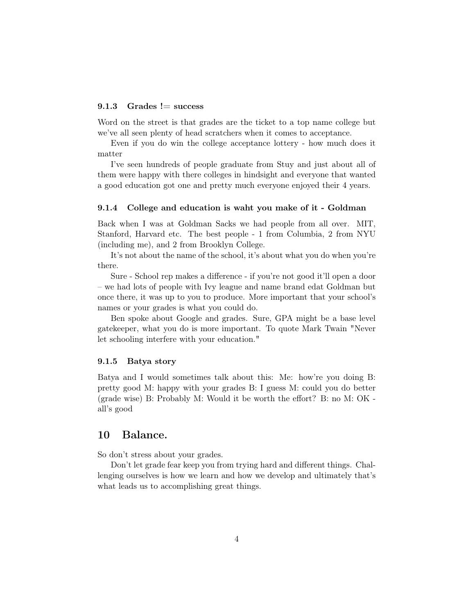#### 9.1.3 Grades  $!=$  success

Word on the street is that grades are the ticket to a top name college but we've all seen plenty of head scratchers when it comes to acceptance.

Even if you do win the college acceptance lottery - how much does it matter

I've seen hundreds of people graduate from Stuy and just about all of them were happy with there colleges in hindsight and everyone that wanted a good education got one and pretty much everyone enjoyed their 4 years.

#### 9.1.4 College and education is waht you make of it - Goldman

Back when I was at Goldman Sacks we had people from all over. MIT, Stanford, Harvard etc. The best people - 1 from Columbia, 2 from NYU (including me), and 2 from Brooklyn College.

It's not about the name of the school, it's about what you do when you're there.

Sure - School rep makes a difference - if you're not good it'll open a door – we had lots of people with Ivy league and name brand edat Goldman but once there, it was up to you to produce. More important that your school's names or your grades is what you could do.

Ben spoke about Google and grades. Sure, GPA might be a base level gatekeeper, what you do is more important. To quote Mark Twain "Never let schooling interfere with your education."

#### 9.1.5 Batya story

Batya and I would sometimes talk about this: Me: how're you doing B: pretty good M: happy with your grades B: I guess M: could you do better (grade wise) B: Probably M: Would it be worth the effort? B: no M: OK all's good

## 10 Balance.

So don't stress about your grades.

Don't let grade fear keep you from trying hard and different things. Challenging ourselves is how we learn and how we develop and ultimately that's what leads us to accomplishing great things.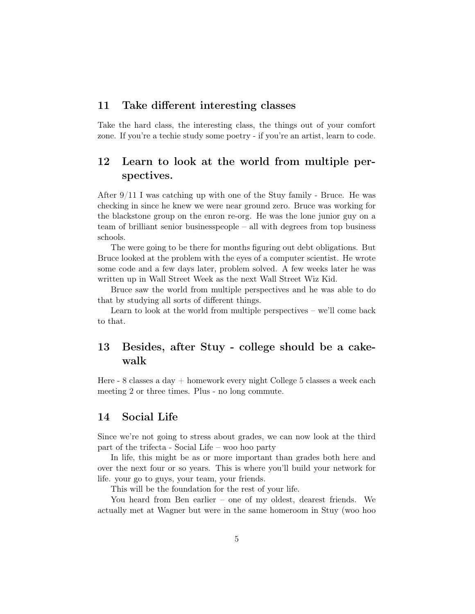## 11 Take different interesting classes

Take the hard class, the interesting class, the things out of your comfort zone. If you're a techie study some poetry - if you're an artist, learn to code.

# 12 Learn to look at the world from multiple perspectives.

After 9/11 I was catching up with one of the Stuy family - Bruce. He was checking in since he knew we were near ground zero. Bruce was working for the blackstone group on the enron re-org. He was the lone junior guy on a team of brilliant senior businesspeople – all with degrees from top business schools.

The were going to be there for months figuring out debt obligations. But Bruce looked at the problem with the eyes of a computer scientist. He wrote some code and a few days later, problem solved. A few weeks later he was written up in Wall Street Week as the next Wall Street Wiz Kid.

Bruce saw the world from multiple perspectives and he was able to do that by studying all sorts of different things.

Learn to look at the world from multiple perspectives – we'll come back to that.

# 13 Besides, after Stuy - college should be a cakewalk

Here - 8 classes a day  $+$  homework every night College 5 classes a week each meeting 2 or three times. Plus - no long commute.

## 14 Social Life

Since we're not going to stress about grades, we can now look at the third part of the trifecta - Social Life – woo hoo party

In life, this might be as or more important than grades both here and over the next four or so years. This is where you'll build your network for life. your go to guys, your team, your friends.

This will be the foundation for the rest of your life.

You heard from Ben earlier – one of my oldest, dearest friends. We actually met at Wagner but were in the same homeroom in Stuy (woo hoo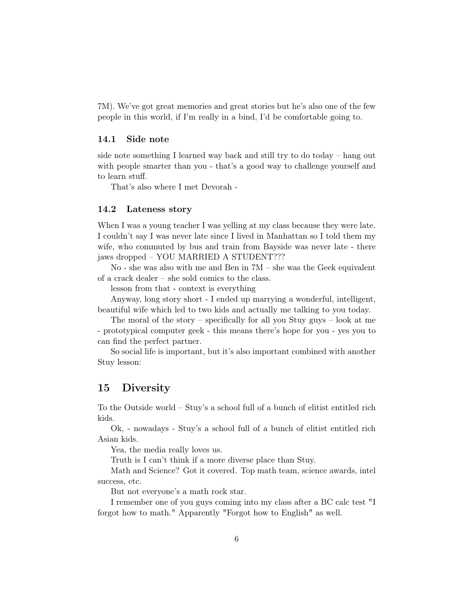7M). We've got great memories and great stories but he's also one of the few people in this world, if I'm really in a bind, I'd be comfortable going to.

#### 14.1 Side note

side note something I learned way back and still try to do today – hang out with people smarter than you - that's a good way to challenge yourself and to learn stuff.

That's also where I met Devorah -

### 14.2 Lateness story

When I was a young teacher I was yelling at my class because they were late. I couldn't say I was never late since I lived in Manhattan so I told them my wife, who commuted by bus and train from Bayside was never late - there jaws dropped – YOU MARRIED A STUDENT???

No - she was also with me and Ben in 7M – she was the Geek equivalent of a crack dealer – she sold comics to the class.

lesson from that - context is everything

Anyway, long story short - I ended up marrying a wonderful, intelligent, beautiful wife which led to two kids and actually me talking to you today.

The moral of the story – specifically for all you Stuy guys – look at me - prototypical computer geek - this means there's hope for you - yes you to can find the perfect partner.

So social life is important, but it's also important combined with another Stuy lesson:

## 15 Diversity

To the Outside world – Stuy's a school full of a bunch of elitist entitled rich kids.

Ok, - nowadays - Stuy's a school full of a bunch of elitist entitled rich Asian kids.

Yea, the media really loves us.

Truth is I can't think if a more diverse place than Stuy.

Math and Science? Got it covered. Top math team, science awards, intel success, etc.

But not everyone's a math rock star.

I remember one of you guys coming into my class after a BC calc test "I forgot how to math." Apparently "Forgot how to English" as well.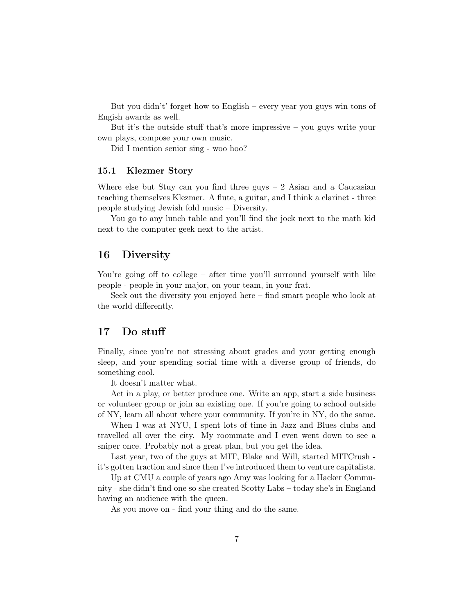But you didn't' forget how to English – every year you guys win tons of Engish awards as well.

But it's the outside stuff that's more impressive – you guys write your own plays, compose your own music.

Did I mention senior sing - woo hoo?

### 15.1 Klezmer Story

Where else but Stuy can you find three guys  $-2$  Asian and a Caucasian teaching themselves Klezmer. A flute, a guitar, and I think a clarinet - three people studying Jewish fold music – Diversity.

You go to any lunch table and you'll find the jock next to the math kid next to the computer geek next to the artist.

## 16 Diversity

You're going off to college – after time you'll surround yourself with like people - people in your major, on your team, in your frat.

Seek out the diversity you enjoyed here – find smart people who look at the world differently,

## 17 Do stuff

Finally, since you're not stressing about grades and your getting enough sleep, and your spending social time with a diverse group of friends, do something cool.

It doesn't matter what.

Act in a play, or better produce one. Write an app, start a side business or volunteer group or join an existing one. If you're going to school outside of NY, learn all about where your community. If you're in NY, do the same.

When I was at NYU, I spent lots of time in Jazz and Blues clubs and travelled all over the city. My roommate and I even went down to see a sniper once. Probably not a great plan, but you get the idea.

Last year, two of the guys at MIT, Blake and Will, started MITCrush it's gotten traction and since then I've introduced them to venture capitalists.

Up at CMU a couple of years ago Amy was looking for a Hacker Community - she didn't find one so she created Scotty Labs – today she's in England having an audience with the queen.

As you move on - find your thing and do the same.